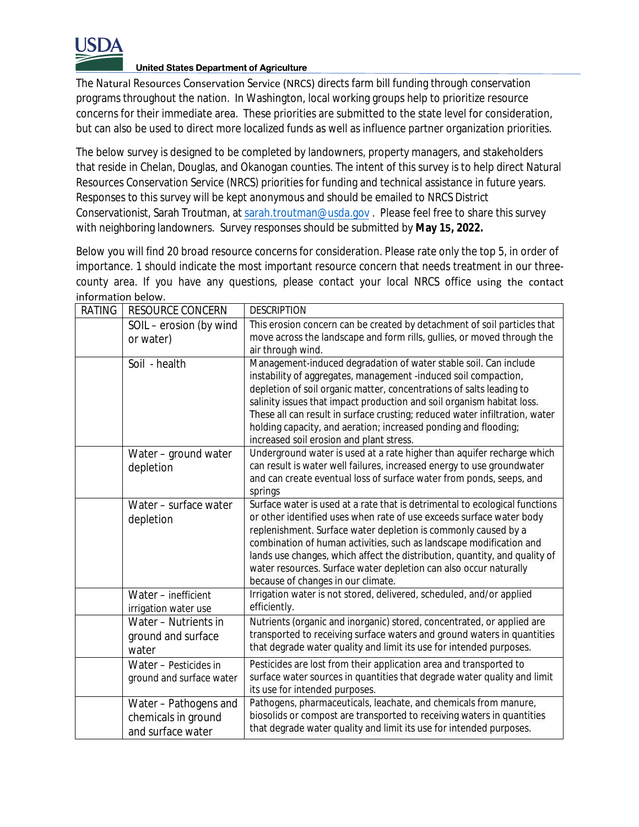

## **United States Department of Agriculture**

The Natural Resources Conservation Service (NRCS) directs farm bill funding through conservation programs throughout the nation. In Washington, local working groups help to prioritize resource concerns for their immediate area. These priorities are submitted to the state level for consideration, but can also be used to direct more localized funds as well as influence partner organization priorities.

The below survey is designed to be completed by landowners, property managers, and stakeholders that reside in Chelan, Douglas, and Okanogan counties. The intent of this survey is to help direct Natural Resources Conservation Service (NRCS) priorities for funding and technical assistance in future years. Responses to this survey will be kept anonymous and should be emailed to NRCS District Conservationist, Sarah Troutman, at [sarah.troutman@usda.gov](mailto:sarah.troutman@usda.gov) . Please feel free to share this survey with neighboring landowners. Survey responses should be submitted by **May 15, 2022.**

Below you will find 20 broad resource concerns for consideration. Please rate only the top 5, in order of importance. 1 should indicate the most important resource concern that needs treatment in our threecounty area. If you have any questions, please contact your local NRCS office using the contact information below.

| <b>RATING</b> | <b>RESOURCE CONCERN</b>                                          | <b>DESCRIPTION</b>                                                                                         |
|---------------|------------------------------------------------------------------|------------------------------------------------------------------------------------------------------------|
|               | SOIL - erosion (by wind                                          | This erosion concern can be created by detachment of soil particles that                                   |
|               | or water)                                                        | move across the landscape and form rills, gullies, or moved through the                                    |
|               | Soil - health                                                    | air through wind.<br>Management-induced degradation of water stable soil. Can include                      |
|               |                                                                  | instability of aggregates, management -induced soil compaction,                                            |
|               |                                                                  | depletion of soil organic matter, concentrations of salts leading to                                       |
|               |                                                                  | salinity issues that impact production and soil organism habitat loss.                                     |
|               |                                                                  | These all can result in surface crusting; reduced water infiltration, water                                |
|               |                                                                  | holding capacity, and aeration; increased ponding and flooding;                                            |
|               |                                                                  | increased soil erosion and plant stress.                                                                   |
|               | Water - ground water                                             | Underground water is used at a rate higher than aquifer recharge which                                     |
|               | depletion                                                        | can result is water well failures, increased energy to use groundwater                                     |
|               |                                                                  | and can create eventual loss of surface water from ponds, seeps, and                                       |
|               |                                                                  | springs                                                                                                    |
|               | Water - surface water                                            | Surface water is used at a rate that is detrimental to ecological functions                                |
|               | depletion                                                        | or other identified uses when rate of use exceeds surface water body                                       |
|               |                                                                  | replenishment. Surface water depletion is commonly caused by a                                             |
|               |                                                                  | combination of human activities, such as landscape modification and                                        |
|               |                                                                  | lands use changes, which affect the distribution, quantity, and quality of                                 |
|               |                                                                  | water resources. Surface water depletion can also occur naturally                                          |
|               |                                                                  | because of changes in our climate.<br>Irrigation water is not stored, delivered, scheduled, and/or applied |
|               | Water - inefficient                                              | efficiently.                                                                                               |
|               | irrigation water use<br>$\overline{\text{Water}}$ – Nutrients in | Nutrients (organic and inorganic) stored, concentrated, or applied are                                     |
|               |                                                                  | transported to receiving surface waters and ground waters in quantities                                    |
|               | ground and surface                                               | that degrade water quality and limit its use for intended purposes.                                        |
|               | water                                                            |                                                                                                            |
|               | Water - Pesticides in                                            | Pesticides are lost from their application area and transported to                                         |
|               | ground and surface water                                         | surface water sources in quantities that degrade water quality and limit                                   |
|               |                                                                  | its use for intended purposes.<br>Pathogens, pharmaceuticals, leachate, and chemicals from manure,         |
|               | Water - Pathogens and                                            | biosolids or compost are transported to receiving waters in quantities                                     |
|               | chemicals in ground                                              | that degrade water quality and limit its use for intended purposes.                                        |
|               | and surface water                                                |                                                                                                            |